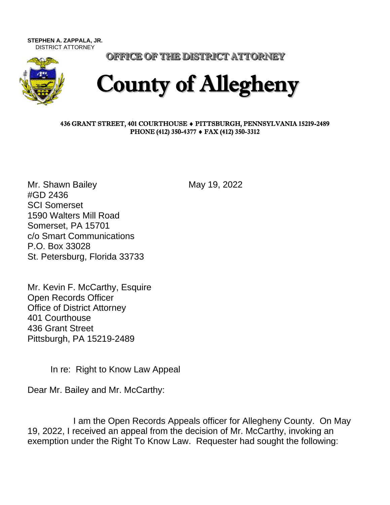**STEPHEN A. ZAPPALA, JR.**  DISTRICT ATTORNEY



OFFICE OF THE DISTRICT ATTORNEY

## County of Allegheny

## 436 GRANT STREET, 401 COURTHOUSE PITTSBURGH, PENNSYLVANIA 15219-2489 PHONE (412) 350-4377 ♦ FAX (412) 350-3312

Mr. Shawn Bailey May 19, 2022 #GD 2436 SCI Somerset 1590 Walters Mill Road Somerset, PA 15701 c/o Smart Communications P.O. Box 33028 St. Petersburg, Florida 33733

Mr. Kevin F. McCarthy, Esquire Open Records Officer Office of District Attorney 401 Courthouse 436 Grant Street Pittsburgh, PA 15219-2489

In re: Right to Know Law Appeal

Dear Mr. Bailey and Mr. McCarthy:

I am the Open Records Appeals officer for Allegheny County. On May 19, 2022, I received an appeal from the decision of Mr. McCarthy, invoking an exemption under the Right To Know Law. Requester had sought the following: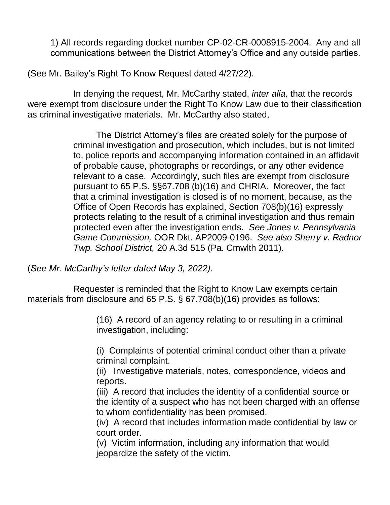1) All records regarding docket number CP-02-CR-0008915-2004. Any and all communications between the District Attorney's Office and any outside parties.

(See Mr. Bailey's Right To Know Request dated 4/27/22).

In denying the request, Mr. McCarthy stated, *inter alia,* that the records were exempt from disclosure under the Right To Know Law due to their classification as criminal investigative materials. Mr. McCarthy also stated,

> The District Attorney's files are created solely for the purpose of criminal investigation and prosecution, which includes, but is not limited to, police reports and accompanying information contained in an affidavit of probable cause, photographs or recordings, or any other evidence relevant to a case. Accordingly, such files are exempt from disclosure pursuant to 65 P.S. §§67.708 (b)(16) and CHRIA. Moreover, the fact that a criminal investigation is closed is of no moment, because, as the Office of Open Records has explained, Section 708(b)(16) expressly protects relating to the result of a criminal investigation and thus remain protected even after the investigation ends. *See Jones v. Pennsylvania Game Commission,* OOR Dkt. AP2009-0196. *See also Sherry v. Radnor Twp. School District,* 20 A.3d 515 (Pa. Cmwlth 2011).

(*See Mr. McCarthy's letter dated May 3, 2022).*

Requester is reminded that the Right to Know Law exempts certain materials from disclosure and 65 P.S. § 67.708(b)(16) provides as follows:

> (16) A record of an agency relating to or resulting in a criminal investigation, including:

(i) Complaints of potential criminal conduct other than a private criminal complaint.

(ii) Investigative materials, notes, correspondence, videos and reports.

(iii) A record that includes the identity of a confidential source or the identity of a suspect who has not been charged with an offense to whom confidentiality has been promised.

(iv) A record that includes information made confidential by law or court order.

(v) Victim information, including any information that would jeopardize the safety of the victim.